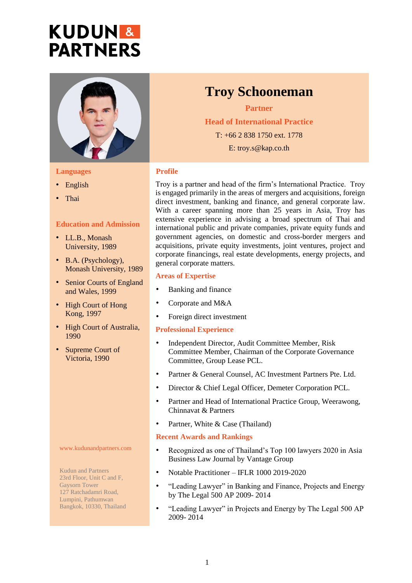# **KUDUN& PARTNERS**



#### **Languages**

- English
- Thai

#### **Education and Admission**

- LL.B., Monash University, 1989
- B.A. (Psychology), Monash University, 1989
- Senior Courts of England and Wales, 1999
- High Court of Hong Kong, 1997
- High Court of Australia, 1990
- Supreme Court of Victoria, 1990

#### www.kudunandpartners.com

Kudun and Partners 23rd Floor, Unit C and F, Gaysorn Tower 127 Ratchadamri Road, Lumpini, Pathumwan Bangkok, 10330, Thailand

### **Troy Schooneman**

**Partner Head of International Practice** T: +66 2 838 1750 ext. 1778 E: troy.s@kap.co.th

#### **Profile**

Troy is a partner and head of the firm's International Practice. Troy is engaged primarily in the areas of mergers and acquisitions, foreign direct investment, banking and finance, and general corporate law. With a career spanning more than 25 years in Asia, Troy has extensive experience in advising a broad spectrum of Thai and international public and private companies, private equity funds and government agencies, on domestic and cross-border mergers and acquisitions, private equity investments, joint ventures, project and corporate financings, real estate developments, energy projects, and general corporate matters.

#### **Areas of Expertise**

- Banking and finance
- Corporate and M&A
- Foreign direct investment

#### **Professional Experience**

- Independent Director, Audit Committee Member, Risk Committee Member, Chairman of the Corporate Governance Committee, Group Lease PCL.
- Partner & General Counsel, AC Investment Partners Pte. Ltd.
- Director & Chief Legal Officer, Demeter Corporation PCL.
- Partner and Head of International Practice Group, Weerawong, Chinnavat & Partners
- Partner, White & Case (Thailand)

#### **Recent Awards and Rankings**

- Recognized as one of Thailand's Top 100 lawyers 2020 in Asia Business Law Journal by Vantage Group
- Notable Practitioner IFLR 1000 2019-2020
- "Leading Lawyer" in Banking and Finance, Projects and Energy by The Legal 500 AP 2009- 2014
- "Leading Lawyer" in Projects and Energy by The Legal 500 AP 2009- 2014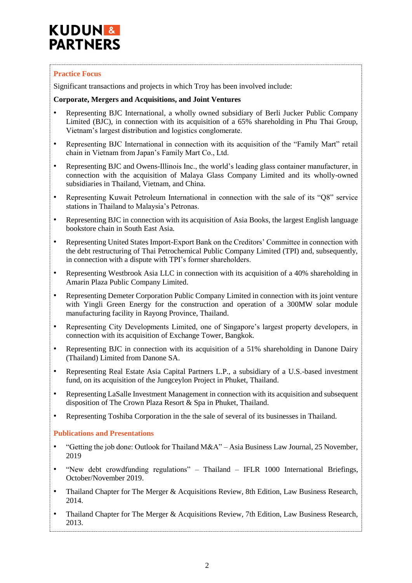## **KUDUN& PARTNERS**

#### **Practice Focus**

Significant transactions and projects in which Troy has been involved include:

#### **Corporate, Mergers and Acquisitions, and Joint Ventures**

- Representing BJC International, a wholly owned subsidiary of Berli Jucker Public Company Limited (BJC), in connection with its acquisition of a 65% shareholding in Phu Thai Group, Vietnam's largest distribution and logistics conglomerate.
- Representing BJC International in connection with its acquisition of the "Family Mart" retail chain in Vietnam from Japan's Family Mart Co., Ltd.
- Representing BJC and Owens-Illinois Inc., the world's leading glass container manufacturer, in connection with the acquisition of Malaya Glass Company Limited and its wholly-owned subsidiaries in Thailand, Vietnam, and China.
- Representing Kuwait Petroleum International in connection with the sale of its "O8" service stations in Thailand to Malaysia's Petronas.
- Representing BJC in connection with its acquisition of Asia Books, the largest English language bookstore chain in South East Asia.
- Representing United States Import-Export Bank on the Creditors' Committee in connection with the debt restructuring of Thai Petrochemical Public Company Limited (TPI) and, subsequently, in connection with a dispute with TPI's former shareholders.
- Representing Westbrook Asia LLC in connection with its acquisition of a 40% shareholding in Amarin Plaza Public Company Limited.
- Representing Demeter Corporation Public Company Limited in connection with its joint venture with Yingli Green Energy for the construction and operation of a 300MW solar module manufacturing facility in Rayong Province, Thailand.
- Representing City Developments Limited, one of Singapore's largest property developers, in connection with its acquisition of Exchange Tower, Bangkok.
- Representing BJC in connection with its acquisition of a 51% shareholding in Danone Dairy (Thailand) Limited from Danone SA.
- Representing Real Estate Asia Capital Partners L.P., a subsidiary of a U.S.-based investment fund, on its acquisition of the Jungceylon Project in Phuket, Thailand.
- Representing LaSalle Investment Management in connection with its acquisition and subsequent disposition of The Crown Plaza Resort & Spa in Phuket, Thailand.
- Representing Toshiba Corporation in the the sale of several of its businesses in Thailand.

#### **Publications and Presentations**

- "Getting the job done: Outlook for Thailand M&A" Asia Business Law Journal, 25 November, 2019
- "New debt crowdfunding regulations" Thailand IFLR 1000 International Briefings, October/November 2019.
- Thailand Chapter for The Merger & Acquisitions Review, 8th Edition, Law Business Research, 2014.
- Thailand Chapter for The Merger & Acquisitions Review, 7th Edition, Law Business Research, 2013.